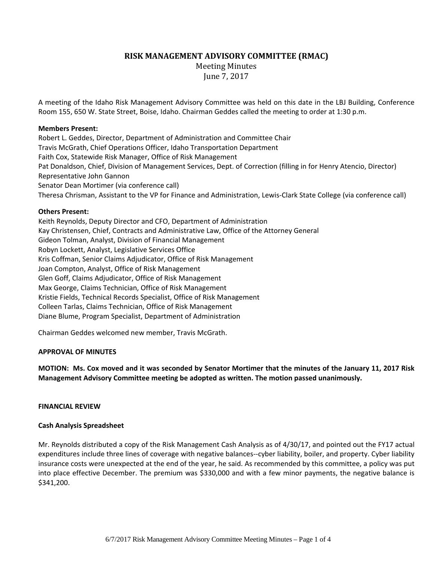# **RISK MANAGEMENT ADVISORY COMMITTEE (RMAC)**

**Meeting Minutes** June 7, 2017

A meeting of the Idaho Risk Management Advisory Committee was held on this date in the LBJ Building, Conference Room 155, 650 W. State Street, Boise, Idaho. Chairman Geddes called the meeting to order at 1:30 p.m.

### **Members Present:**

Robert L. Geddes, Director, Department of Administration and Committee Chair Travis McGrath, Chief Operations Officer, Idaho Transportation Department Faith Cox, Statewide Risk Manager, Office of Risk Management Pat Donaldson, Chief, Division of Management Services, Dept. of Correction (filling in for Henry Atencio, Director) Representative John Gannon Senator Dean Mortimer (via conference call) Theresa Chrisman, Assistant to the VP for Finance and Administration, Lewis‐Clark State College (via conference call)

### **Others Present:**

Keith Reynolds, Deputy Director and CFO, Department of Administration Kay Christensen, Chief, Contracts and Administrative Law, Office of the Attorney General Gideon Tolman, Analyst, Division of Financial Management Robyn Lockett, Analyst, Legislative Services Office Kris Coffman, Senior Claims Adjudicator, Office of Risk Management Joan Compton, Analyst, Office of Risk Management Glen Goff, Claims Adjudicator, Office of Risk Management Max George, Claims Technician, Office of Risk Management Kristie Fields, Technical Records Specialist, Office of Risk Management Colleen Tarlas, Claims Technician, Office of Risk Management Diane Blume, Program Specialist, Department of Administration

Chairman Geddes welcomed new member, Travis McGrath.

## **APPROVAL OF MINUTES**

MOTION: Ms. Cox moved and it was seconded by Senator Mortimer that the minutes of the January 11, 2017 Risk **Management Advisory Committee meeting be adopted as written. The motion passed unanimously.**

#### **FINANCIAL REVIEW**

#### **Cash Analysis Spreadsheet**

Mr. Reynolds distributed a copy of the Risk Management Cash Analysis as of 4/30/17, and pointed out the FY17 actual expenditures include three lines of coverage with negative balances--cyber liability, boiler, and property. Cyber liability insurance costs were unexpected at the end of the year, he said. As recommended by this committee, a policy was put into place effective December. The premium was \$330,000 and with a few minor payments, the negative balance is \$341,200.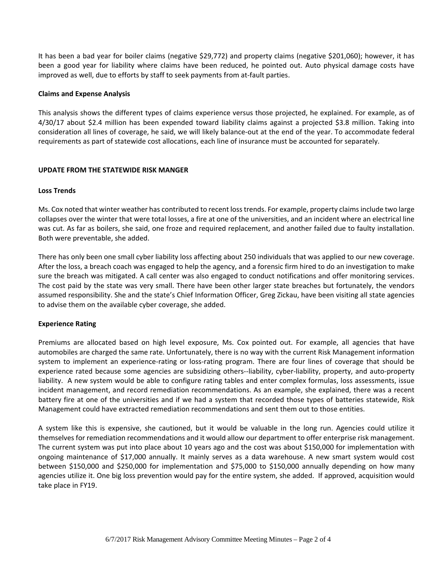It has been a bad year for boiler claims (negative \$29,772) and property claims (negative \$201,060); however, it has been a good year for liability where claims have been reduced, he pointed out. Auto physical damage costs have improved as well, due to efforts by staff to seek payments from at-fault parties.

### **Claims and Expense Analysis**

This analysis shows the different types of claims experience versus those projected, he explained. For example, as of 4/30/17 about \$2.4 million has been expended toward liability claims against a projected \$3.8 million. Taking into consideration all lines of coverage, he said, we will likely balance-out at the end of the year. To accommodate federal requirements as part of statewide cost allocations, each line of insurance must be accounted for separately.

### **UPDATE FROM THE STATEWIDE RISK MANGER**

### **Loss Trends**

Ms. Cox noted that winter weather has contributed to recent losstrends. For example, property claimsinclude two large collapses over the winter that were total losses, a fire at one of the universities, and an incident where an electrical line was cut. As far as boilers, she said, one froze and required replacement, and another failed due to faulty installation. Both were preventable, she added.

There has only been one small cyber liability loss affecting about 250 individuals that was applied to our new coverage. After the loss, a breach coach was engaged to help the agency, and a forensic firm hired to do an investigation to make sure the breach was mitigated. A call center was also engaged to conduct notifications and offer monitoring services. The cost paid by the state was very small. There have been other larger state breaches but fortunately, the vendors assumed responsibility. She and the state's Chief Information Officer, Greg Zickau, have been visiting all state agencies to advise them on the available cyber coverage, she added.

## **Experience Rating**

Premiums are allocated based on high level exposure, Ms. Cox pointed out. For example, all agencies that have automobiles are charged the same rate. Unfortunately, there is no way with the current Risk Management information system to implement an experience-rating or loss-rating program. There are four lines of coverage that should be experience rated because some agencies are subsidizing others--liability, cyber-liability, property, and auto-property liability. A new system would be able to configure rating tables and enter complex formulas, loss assessments, issue incident management, and record remediation recommendations. As an example, she explained, there was a recent battery fire at one of the universities and if we had a system that recorded those types of batteries statewide, Risk Management could have extracted remediation recommendations and sent them out to those entities.

A system like this is expensive, she cautioned, but it would be valuable in the long run. Agencies could utilize it themselves for remediation recommendations and it would allow our department to offer enterprise risk management. The current system was put into place about 10 years ago and the cost was about \$150,000 for implementation with ongoing maintenance of \$17,000 annually. It mainly serves as a data warehouse. A new smart system would cost between \$150,000 and \$250,000 for implementation and \$75,000 to \$150,000 annually depending on how many agencies utilize it. One big loss prevention would pay for the entire system, she added. If approved, acquisition would take place in FY19.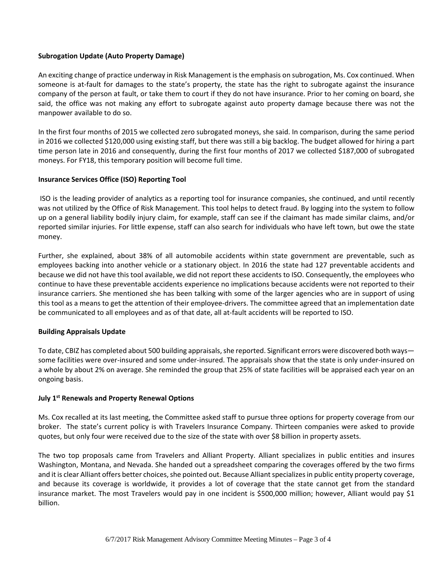# **Subrogation Update (Auto Property Damage)**

An exciting change of practice underway in Risk Management is the emphasis on subrogation, Ms. Cox continued. When someone is at-fault for damages to the state's property, the state has the right to subrogate against the insurance company of the person at fault, or take them to court if they do not have insurance. Prior to her coming on board, she said, the office was not making any effort to subrogate against auto property damage because there was not the manpower available to do so.

In the first four months of 2015 we collected zero subrogated moneys, she said. In comparison, during the same period in 2016 we collected \$120,000 using existing staff, but there was still a big backlog. The budget allowed for hiring a part time person late in 2016 and consequently, during the first four months of 2017 we collected \$187,000 of subrogated moneys. For FY18, this temporary position will become full time.

## **Insurance Services Office (ISO) Reporting Tool**

ISO is the leading provider of analytics as a reporting tool for insurance companies, she continued, and until recently was not utilized by the Office of Risk Management. This tool helps to detect fraud. By logging into the system to follow up on a general liability bodily injury claim, for example, staff can see if the claimant has made similar claims, and/or reported similar injuries. For little expense, staff can also search for individuals who have left town, but owe the state money.

Further, she explained, about 38% of all automobile accidents within state government are preventable, such as employees backing into another vehicle or a stationary object. In 2016 the state had 127 preventable accidents and because we did not have this tool available, we did not report these accidents to ISO. Consequently, the employees who continue to have these preventable accidents experience no implications because accidents were not reported to their insurance carriers. She mentioned she has been talking with some of the larger agencies who are in support of using this tool as a means to get the attention of their employee‐drivers. The committee agreed that an implementation date be communicated to all employees and as of that date, all at-fault accidents will be reported to ISO.

## **Building Appraisals Update**

To date, CBIZ has completed about 500 building appraisals, she reported. Significant errors were discovered both ways some facilities were over-insured and some under-insured. The appraisals show that the state is only under-insured on a whole by about 2% on average. She reminded the group that 25% of state facilities will be appraised each year on an ongoing basis.

## **July 1st Renewals and Property Renewal Options**

Ms. Cox recalled at its last meeting, the Committee asked staff to pursue three options for property coverage from our broker. The state's current policy is with Travelers Insurance Company. Thirteen companies were asked to provide quotes, but only four were received due to the size of the state with over \$8 billion in property assets.

The two top proposals came from Travelers and Alliant Property. Alliant specializes in public entities and insures Washington, Montana, and Nevada. She handed out a spreadsheet comparing the coverages offered by the two firms and it is clear Alliant offers better choices, she pointed out. Because Alliant specializes in public entity property coverage, and because its coverage is worldwide, it provides a lot of coverage that the state cannot get from the standard insurance market. The most Travelers would pay in one incident is \$500,000 million; however, Alliant would pay \$1 billion.